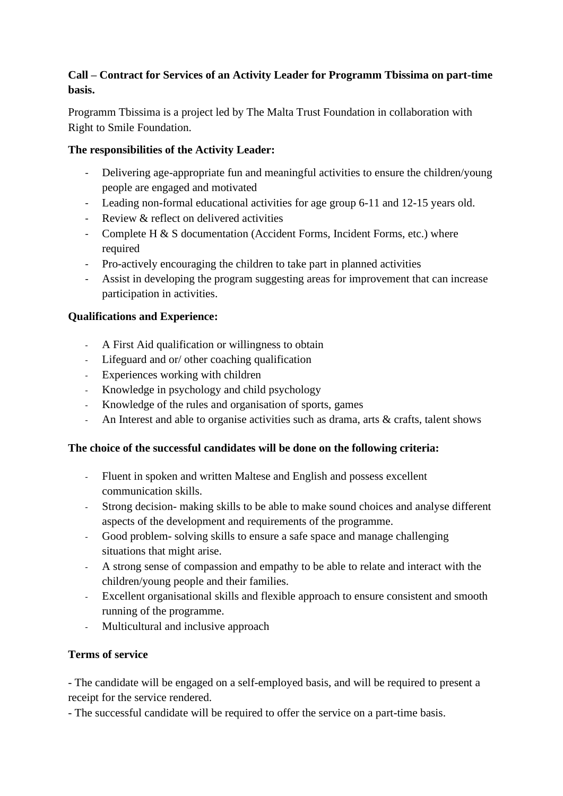## **Call – Contract for Services of an Activity Leader for Programm Tbissima on part-time basis.**

Programm Tbissima is a project led by The Malta Trust Foundation in collaboration with Right to Smile Foundation.

# **The responsibilities of the Activity Leader:**

- Delivering age-appropriate fun and meaningful activities to ensure the children/young people are engaged and motivated
- Leading non-formal educational activities for age group 6-11 and 12-15 years old.
- Review & reflect on delivered activities
- Complete H & S documentation (Accident Forms, Incident Forms, etc.) where required
- Pro-actively encouraging the children to take part in planned activities
- Assist in developing the program suggesting areas for improvement that can increase participation in activities.

## **Qualifications and Experience:**

- A First Aid qualification or willingness to obtain
- Lifeguard and or/ other coaching qualification
- Experiences working with children
- Knowledge in psychology and child psychology
- Knowledge of the rules and organisation of sports, games
- An Interest and able to organise activities such as drama, arts & crafts, talent shows

## **The choice of the successful candidates will be done on the following criteria:**

- Fluent in spoken and written Maltese and English and possess excellent communication skills.
- Strong decision- making skills to be able to make sound choices and analyse different aspects of the development and requirements of the programme.
- Good problem- solving skills to ensure a safe space and manage challenging situations that might arise.
- A strong sense of compassion and empathy to be able to relate and interact with the children/young people and their families.
- Excellent organisational skills and flexible approach to ensure consistent and smooth running of the programme.
- Multicultural and inclusive approach

## **Terms of service**

- The candidate will be engaged on a self-employed basis, and will be required to present a receipt for the service rendered.

- The successful candidate will be required to offer the service on a part-time basis.